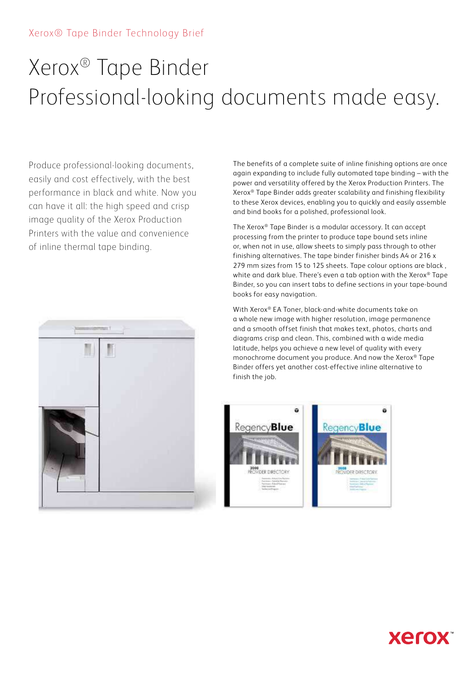## Xerox® Tape Binder Technology Brief

# Xerox® Tape Binder Professional-looking documents made easy.

Produce professional-looking documents, easily and cost effectively, with the best performance in black and white. Now you can have it all: the high speed and crisp image quality of the Xerox Production Printers with the value and convenience of inline thermal tape binding.



The benefits of a complete suite of inline finishing options are once again expanding to include fully automated tape binding – with the power and versatility offered by the Xerox Production Printers. The Xerox® Tape Binder adds greater scalability and finishing flexibility to these Xerox devices, enabling you to quickly and easily assemble and bind books for a polished, professional look.

The Xerox® Tape Binder is a modular accessory. It can accept processing from the printer to produce tape bound sets inline or, when not in use, allow sheets to simply pass through to other finishing alternatives. The tape binder finisher binds A4 or 216 x 279 mm sizes from 15 to 125 sheets. Tape colour options are black , white and dark blue. There's even a tab option with the Xerox® Tape Binder, so you can insert tabs to define sections in your tape-bound books for easy navigation.

With Xerox® EA Toner, black-and-white documents take on a whole new image with higher resolution, image permanence and a smooth offset finish that makes text, photos, charts and diagrams crisp and clean. This, combined with a wide media latitude, helps you achieve a new level of quality with every monochrome document you produce. And now the Xerox® Tape Binder offers yet another cost-effective inline alternative to finish the job.